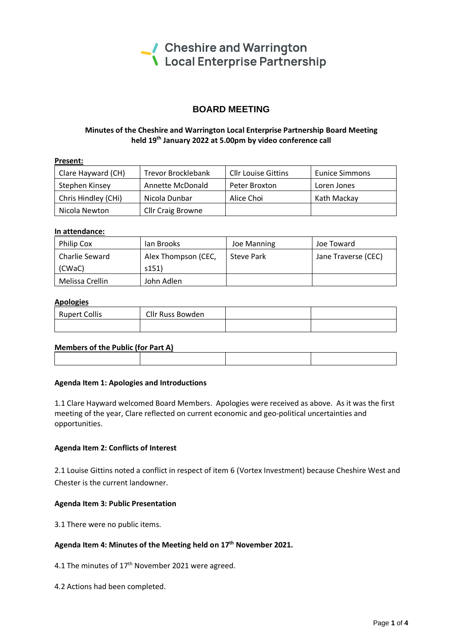

# **BOARD MEETING**

# **Minutes of the Cheshire and Warrington Local Enterprise Partnership Board Meeting held 19 th January 2022 at 5.00pm by video conference call**

| <b>Present:</b>     |                           |                            |                       |
|---------------------|---------------------------|----------------------------|-----------------------|
| Clare Hayward (CH)  | <b>Trevor Brocklebank</b> | <b>Cllr Louise Gittins</b> | <b>Eunice Simmons</b> |
| Stephen Kinsey      | Annette McDonald          | Peter Broxton              | Loren Jones           |
| Chris Hindley (CHi) | Nicola Dunbar             | Alice Choi                 | Kath Mackav           |
| Nicola Newton       | <b>Cllr Craig Browne</b>  |                            |                       |

#### **In attendance:**

| <b>Philip Cox</b> | lan Brooks          | Joe Manning | Joe Toward          |
|-------------------|---------------------|-------------|---------------------|
| Charlie Seward    | Alex Thompson (CEC, | Steve Park  | Jane Traverse (CEC) |
| (CWaC)            | s151                |             |                     |
| Melissa Crellin   | John Adlen          |             |                     |

#### **Apologies**

| <b>Rupert Collis</b> | Cllr Russ Bowden |  |
|----------------------|------------------|--|
|                      |                  |  |

### **Members of the Public (for Part A)**

#### **Agenda Item 1: Apologies and Introductions**

1.1 Clare Hayward welcomed Board Members. Apologies were received as above. As it was the first meeting of the year, Clare reflected on current economic and geo-political uncertainties and opportunities.

#### **Agenda Item 2: Conflicts of Interest**

2.1 Louise Gittins noted a conflict in respect of item 6 (Vortex Investment) because Cheshire West and Chester is the current landowner.

### **Agenda Item 3: Public Presentation**

3.1 There were no public items.

# **Agenda Item 4: Minutes of the Meeting held on 17 th November 2021.**

4.1 The minutes of 17<sup>th</sup> November 2021 were agreed.

4.2 Actions had been completed.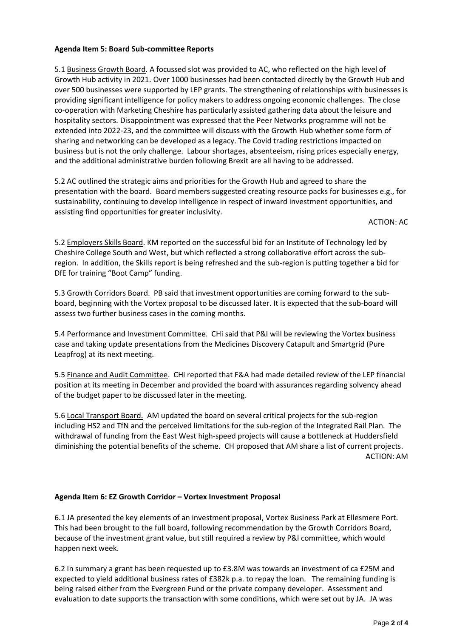# **Agenda Item 5: Board Sub-committee Reports**

5.1 Business Growth Board. A focussed slot was provided to AC, who reflected on the high level of Growth Hub activity in 2021. Over 1000 businesses had been contacted directly by the Growth Hub and over 500 businesses were supported by LEP grants. The strengthening of relationships with businesses is providing significant intelligence for policy makers to address ongoing economic challenges. The close co-operation with Marketing Cheshire has particularly assisted gathering data about the leisure and hospitality sectors. Disappointment was expressed that the Peer Networks programme will not be extended into 2022-23, and the committee will discuss with the Growth Hub whether some form of sharing and networking can be developed as a legacy. The Covid trading restrictions impacted on business but is not the only challenge. Labour shortages, absenteeism, rising prices especially energy, and the additional administrative burden following Brexit are all having to be addressed.

5.2 AC outlined the strategic aims and priorities for the Growth Hub and agreed to share the presentation with the board. Board members suggested creating resource packs for businesses e.g., for sustainability, continuing to develop intelligence in respect of inward investment opportunities, and assisting find opportunities for greater inclusivity.

### ACTION: AC

5.2 Employers Skills Board. KM reported on the successful bid for an Institute of Technology led by Cheshire College South and West, but which reflected a strong collaborative effort across the subregion. In addition, the Skills report is being refreshed and the sub-region is putting together a bid for DfE for training "Boot Camp" funding.

5.3 Growth Corridors Board. PB said that investment opportunities are coming forward to the subboard, beginning with the Vortex proposal to be discussed later. It is expected that the sub-board will assess two further business cases in the coming months.

5.4 Performance and Investment Committee. CHi said that P&I will be reviewing the Vortex business case and taking update presentations from the Medicines Discovery Catapult and Smartgrid (Pure Leapfrog) at its next meeting.

5.5 Finance and Audit Committee. CHi reported that F&A had made detailed review of the LEP financial position at its meeting in December and provided the board with assurances regarding solvency ahead of the budget paper to be discussed later in the meeting.

5.6 Local Transport Board. AM updated the board on several critical projects for the sub-region including HS2 and TfN and the perceived limitations for the sub-region of the Integrated Rail Plan. The withdrawal of funding from the East West high-speed projects will cause a bottleneck at Huddersfield diminishing the potential benefits of the scheme. CH proposed that AM share a list of current projects. ACTION: AM

### **Agenda Item 6: EZ Growth Corridor – Vortex Investment Proposal**

6.1 JA presented the key elements of an investment proposal, Vortex Business Park at Ellesmere Port. This had been brought to the full board, following recommendation by the Growth Corridors Board, because of the investment grant value, but still required a review by P&I committee, which would happen next week.

6.2 In summary a grant has been requested up to £3.8M was towards an investment of ca £25M and expected to yield additional business rates of £382k p.a. to repay the loan. The remaining funding is being raised either from the Evergreen Fund or the private company developer. Assessment and evaluation to date supports the transaction with some conditions, which were set out by JA. JA was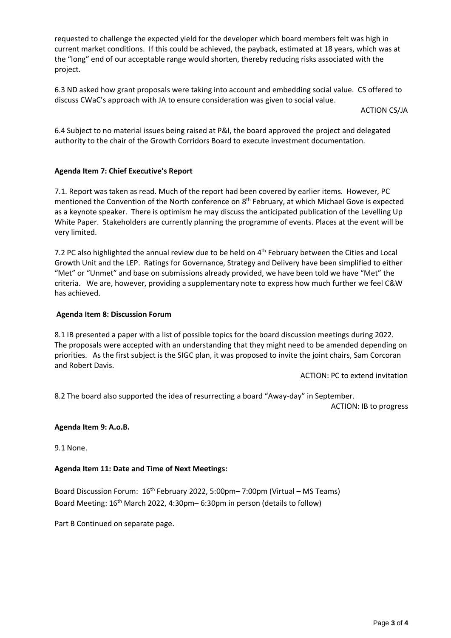requested to challenge the expected yield for the developer which board members felt was high in current market conditions. If this could be achieved, the payback, estimated at 18 years, which was at the "long" end of our acceptable range would shorten, thereby reducing risks associated with the project.

6.3 ND asked how grant proposals were taking into account and embedding social value. CS offered to discuss CWaC's approach with JA to ensure consideration was given to social value.

ACTION CS/JA

6.4 Subject to no material issues being raised at P&I, the board approved the project and delegated authority to the chair of the Growth Corridors Board to execute investment documentation.

# **Agenda Item 7: Chief Executive's Report**

7.1. Report was taken as read. Much of the report had been covered by earlier items. However, PC mentioned the Convention of the North conference on  $8<sup>th</sup>$  February, at which Michael Gove is expected as a keynote speaker. There is optimism he may discuss the anticipated publication of the Levelling Up White Paper. Stakeholders are currently planning the programme of events. Places at the event will be very limited.

7.2 PC also highlighted the annual review due to be held on 4<sup>th</sup> February between the Cities and Local Growth Unit and the LEP. Ratings for Governance, Strategy and Delivery have been simplified to either "Met" or "Unmet" and base on submissions already provided, we have been told we have "Met" the criteria. We are, however, providing a supplementary note to express how much further we feel C&W has achieved.

### **Agenda Item 8: Discussion Forum**

8.1 IB presented a paper with a list of possible topics for the board discussion meetings during 2022. The proposals were accepted with an understanding that they might need to be amended depending on priorities. As the first subject is the SIGC plan, it was proposed to invite the joint chairs, Sam Corcoran and Robert Davis.

ACTION: PC to extend invitation

8.2 The board also supported the idea of resurrecting a board "Away-day" in September.

ACTION: IB to progress

# **Agenda Item 9: A.o.B.**

9.1 None.

### **Agenda Item 11: Date and Time of Next Meetings:**

Board Discussion Forum: 16<sup>th</sup> February 2022, 5:00pm-7:00pm (Virtual - MS Teams) Board Meeting: 16<sup>th</sup> March 2022, 4:30pm – 6:30pm in person (details to follow)

Part B Continued on separate page.